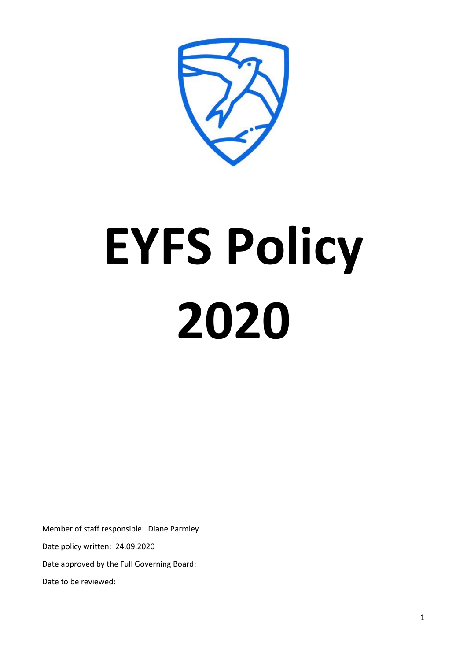# **EYFS Policy 2020**

Member of staff responsible: Diane Parmley Date policy written: 24.09.2020 Date approved by the Full Governing Board:

Date to be reviewed: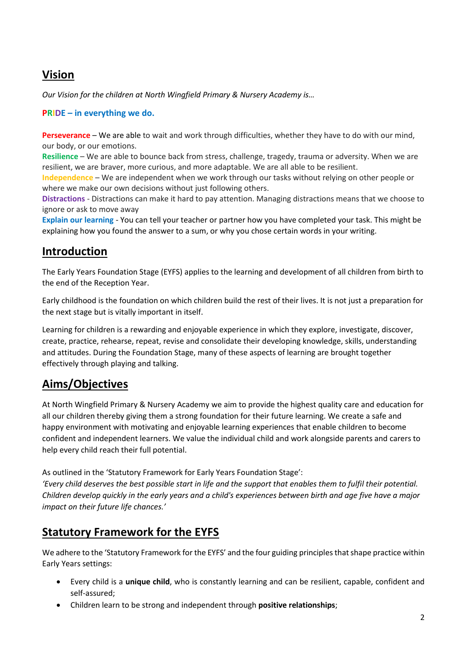# **Vision**

*Our Vision for the children at North Wingfield Primary & Nursery Academy is…*

#### **PRIDE – in everything we do.**

**Perseverance** – We are able to wait and work through difficulties, whether they have to do with our mind, our body, or our emotions.

**Resilience** – We are able to bounce back from stress, challenge, tragedy, trauma or adversity. When we are resilient, we are braver, more curious, and more adaptable. We are all able to be resilient.

**Independence** – We are independent when we work through our tasks without relying on other people or where we make our own decisions without just following others.

**Distractions** - Distractions can make it hard to pay attention. Managing distractions means that we choose to ignore or ask to move away

**Explain our learning** - You can tell your teacher or partner how you have completed your task. This might be explaining how you found the answer to a sum, or why you chose certain words in your writing.

## **Introduction**

The Early Years Foundation Stage (EYFS) applies to the learning and development of all children from birth to the end of the Reception Year.

Early childhood is the foundation on which children build the rest of their lives. It is not just a preparation for the next stage but is vitally important in itself.

Learning for children is a rewarding and enjoyable experience in which they explore, investigate, discover, create, practice, rehearse, repeat, revise and consolidate their developing knowledge, skills, understanding and attitudes. During the Foundation Stage, many of these aspects of learning are brought together effectively through playing and talking.

# **Aims/Objectives**

At North Wingfield Primary & Nursery Academy we aim to provide the highest quality care and education for all our children thereby giving them a strong foundation for their future learning. We create a safe and happy environment with motivating and enjoyable learning experiences that enable children to become confident and independent learners. We value the individual child and work alongside parents and carers to help every child reach their full potential.

As outlined in the 'Statutory Framework for Early Years Foundation Stage':

*'Every child deserves the best possible start in life and the support that enables them to fulfil their potential. Children develop quickly in the early years and a child's experiences between birth and age five have a major impact on their future life chances.'*

# **Statutory Framework for the EYFS**

We adhere to the 'Statutory Framework for the EYFS' and the four guiding principles that shape practice within Early Years settings:

- Every child is a **unique child**, who is constantly learning and can be resilient, capable, confident and self-assured;
- Children learn to be strong and independent through **positive relationships**;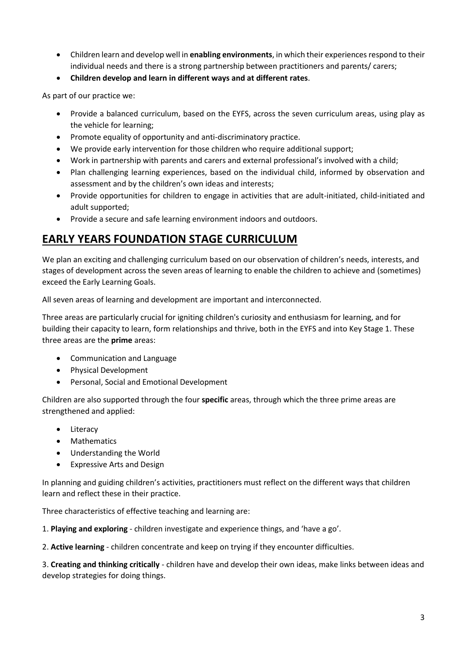- Children learn and develop well in **enabling environments**, in which their experiences respond to their individual needs and there is a strong partnership between practitioners and parents/ carers;
- **Children develop and learn in different ways and at different rates**.

As part of our practice we:

- Provide a balanced curriculum, based on the EYFS, across the seven curriculum areas, using play as the vehicle for learning;
- Promote equality of opportunity and anti-discriminatory practice.
- We provide early intervention for those children who require additional support;
- Work in partnership with parents and carers and external professional's involved with a child;
- Plan challenging learning experiences, based on the individual child, informed by observation and assessment and by the children's own ideas and interests;
- Provide opportunities for children to engage in activities that are adult-initiated, child-initiated and adult supported;
- Provide a secure and safe learning environment indoors and outdoors.

## **EARLY YEARS FOUNDATION STAGE CURRICULUM**

We plan an exciting and challenging curriculum based on our observation of children's needs, interests, and stages of development across the seven areas of learning to enable the children to achieve and (sometimes) exceed the Early Learning Goals.

All seven areas of learning and development are important and interconnected.

Three areas are particularly crucial for igniting children's curiosity and enthusiasm for learning, and for building their capacity to learn, form relationships and thrive, both in the EYFS and into Key Stage 1. These three areas are the **prime** areas:

- Communication and Language
- Physical Development
- Personal, Social and Emotional Development

Children are also supported through the four **specific** areas, through which the three prime areas are strengthened and applied:

- Literacy
- Mathematics
- Understanding the World
- Expressive Arts and Design

In planning and guiding children's activities, practitioners must reflect on the different ways that children learn and reflect these in their practice.

Three characteristics of effective teaching and learning are:

1. **Playing and exploring** - children investigate and experience things, and 'have a go'.

2. **Active learning** - children concentrate and keep on trying if they encounter difficulties.

3. **Creating and thinking critically** - children have and develop their own ideas, make links between ideas and develop strategies for doing things.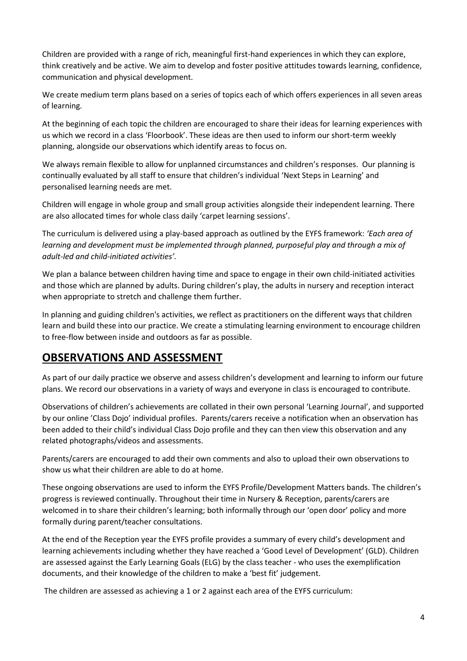Children are provided with a range of rich, meaningful first-hand experiences in which they can explore, think creatively and be active. We aim to develop and foster positive attitudes towards learning, confidence, communication and physical development.

We create medium term plans based on a series of topics each of which offers experiences in all seven areas of learning.

At the beginning of each topic the children are encouraged to share their ideas for learning experiences with us which we record in a class 'Floorbook'. These ideas are then used to inform our short-term weekly planning, alongside our observations which identify areas to focus on.

We always remain flexible to allow for unplanned circumstances and children's responses. Our planning is continually evaluated by all staff to ensure that children's individual 'Next Steps in Learning' and personalised learning needs are met.

Children will engage in whole group and small group activities alongside their independent learning. There are also allocated times for whole class daily 'carpet learning sessions'.

The curriculum is delivered using a play-based approach as outlined by the EYFS framework: *'Each area of learning and development must be implemented through planned, purposeful play and through a mix of adult-led and child-initiated activities'.*

We plan a balance between children having time and space to engage in their own child-initiated activities and those which are planned by adults. During children's play, the adults in nursery and reception interact when appropriate to stretch and challenge them further.

In planning and guiding children's activities, we reflect as practitioners on the different ways that children learn and build these into our practice. We create a stimulating learning environment to encourage children to free-flow between inside and outdoors as far as possible.

## **OBSERVATIONS AND ASSESSMENT**

As part of our daily practice we observe and assess children's development and learning to inform our future plans. We record our observations in a variety of ways and everyone in class is encouraged to contribute.

Observations of children's achievements are collated in their own personal 'Learning Journal', and supported by our online 'Class Dojo' individual profiles. Parents/carers receive a notification when an observation has been added to their child's individual Class Dojo profile and they can then view this observation and any related photographs/videos and assessments.

Parents/carers are encouraged to add their own comments and also to upload their own observations to show us what their children are able to do at home.

These ongoing observations are used to inform the EYFS Profile/Development Matters bands. The children's progress is reviewed continually. Throughout their time in Nursery & Reception, parents/carers are welcomed in to share their children's learning; both informally through our 'open door' policy and more formally during parent/teacher consultations.

At the end of the Reception year the EYFS profile provides a summary of every child's development and learning achievements including whether they have reached a 'Good Level of Development' (GLD). Children are assessed against the Early Learning Goals (ELG) by the class teacher - who uses the exemplification documents, and their knowledge of the children to make a 'best fit' judgement.

The children are assessed as achieving a 1 or 2 against each area of the EYFS curriculum: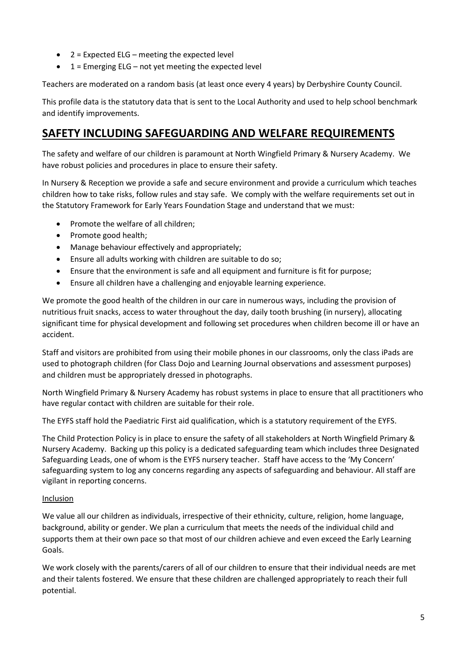- $2 =$  Expected ELG meeting the expected level
- $1 =$  Emerging ELG not yet meeting the expected level

Teachers are moderated on a random basis (at least once every 4 years) by Derbyshire County Council.

This profile data is the statutory data that is sent to the Local Authority and used to help school benchmark and identify improvements.

## **SAFETY INCLUDING SAFEGUARDING AND WELFARE REQUIREMENTS**

The safety and welfare of our children is paramount at North Wingfield Primary & Nursery Academy. We have robust policies and procedures in place to ensure their safety.

In Nursery & Reception we provide a safe and secure environment and provide a curriculum which teaches children how to take risks, follow rules and stay safe. We comply with the welfare requirements set out in the Statutory Framework for Early Years Foundation Stage and understand that we must:

- Promote the welfare of all children;
- Promote good health;
- Manage behaviour effectively and appropriately;
- Ensure all adults working with children are suitable to do so;
- Ensure that the environment is safe and all equipment and furniture is fit for purpose;
- Ensure all children have a challenging and enjoyable learning experience.

We promote the good health of the children in our care in numerous ways, including the provision of nutritious fruit snacks, access to water throughout the day, daily tooth brushing (in nursery), allocating significant time for physical development and following set procedures when children become ill or have an accident.

Staff and visitors are prohibited from using their mobile phones in our classrooms, only the class iPads are used to photograph children (for Class Dojo and Learning Journal observations and assessment purposes) and children must be appropriately dressed in photographs.

North Wingfield Primary & Nursery Academy has robust systems in place to ensure that all practitioners who have regular contact with children are suitable for their role.

The EYFS staff hold the Paediatric First aid qualification, which is a statutory requirement of the EYFS.

The Child Protection Policy is in place to ensure the safety of all stakeholders at North Wingfield Primary & Nursery Academy. Backing up this policy is a dedicated safeguarding team which includes three Designated Safeguarding Leads, one of whom is the EYFS nursery teacher. Staff have access to the 'My Concern' safeguarding system to log any concerns regarding any aspects of safeguarding and behaviour. All staff are vigilant in reporting concerns.

#### Inclusion

We value all our children as individuals, irrespective of their ethnicity, culture, religion, home language, background, ability or gender. We plan a curriculum that meets the needs of the individual child and supports them at their own pace so that most of our children achieve and even exceed the Early Learning Goals.

We work closely with the parents/carers of all of our children to ensure that their individual needs are met and their talents fostered. We ensure that these children are challenged appropriately to reach their full potential.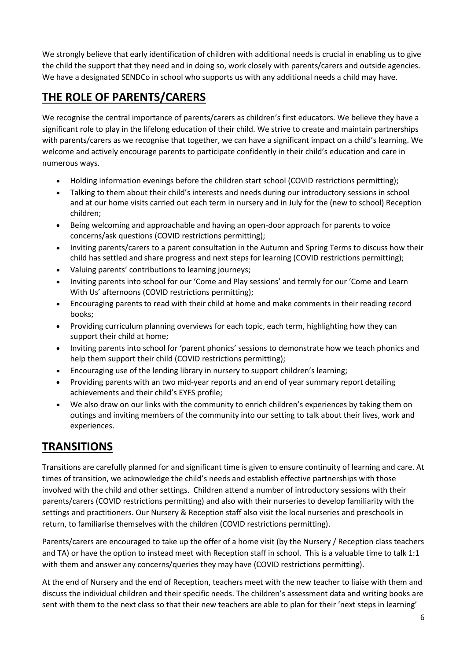We strongly believe that early identification of children with additional needs is crucial in enabling us to give the child the support that they need and in doing so, work closely with parents/carers and outside agencies. We have a designated SENDCo in school who supports us with any additional needs a child may have.

# **THE ROLE OF PARENTS/CARERS**

We recognise the central importance of parents/carers as children's first educators. We believe they have a significant role to play in the lifelong education of their child. We strive to create and maintain partnerships with parents/carers as we recognise that together, we can have a significant impact on a child's learning. We welcome and actively encourage parents to participate confidently in their child's education and care in numerous ways.

- Holding information evenings before the children start school (COVID restrictions permitting);
- Talking to them about their child's interests and needs during our introductory sessions in school and at our home visits carried out each term in nursery and in July for the (new to school) Reception children;
- Being welcoming and approachable and having an open-door approach for parents to voice concerns/ask questions (COVID restrictions permitting);
- Inviting parents/carers to a parent consultation in the Autumn and Spring Terms to discuss how their child has settled and share progress and next steps for learning (COVID restrictions permitting);
- Valuing parents' contributions to learning journeys;
- Inviting parents into school for our 'Come and Play sessions' and termly for our 'Come and Learn With Us' afternoons (COVID restrictions permitting);
- Encouraging parents to read with their child at home and make comments in their reading record books;
- Providing curriculum planning overviews for each topic, each term, highlighting how they can support their child at home;
- Inviting parents into school for 'parent phonics' sessions to demonstrate how we teach phonics and help them support their child (COVID restrictions permitting);
- Encouraging use of the lending library in nursery to support children's learning;
- Providing parents with an two mid-year reports and an end of year summary report detailing achievements and their child's EYFS profile;
- We also draw on our links with the community to enrich children's experiences by taking them on outings and inviting members of the community into our setting to talk about their lives, work and experiences.

# **TRANSITIONS**

Transitions are carefully planned for and significant time is given to ensure continuity of learning and care. At times of transition, we acknowledge the child's needs and establish effective partnerships with those involved with the child and other settings. Children attend a number of introductory sessions with their parents/carers (COVID restrictions permitting) and also with their nurseries to develop familiarity with the settings and practitioners. Our Nursery & Reception staff also visit the local nurseries and preschools in return, to familiarise themselves with the children (COVID restrictions permitting).

Parents/carers are encouraged to take up the offer of a home visit (by the Nursery / Reception class teachers and TA) or have the option to instead meet with Reception staff in school. This is a valuable time to talk 1:1 with them and answer any concerns/queries they may have (COVID restrictions permitting).

At the end of Nursery and the end of Reception, teachers meet with the new teacher to liaise with them and discuss the individual children and their specific needs. The children's assessment data and writing books are sent with them to the next class so that their new teachers are able to plan for their 'next steps in learning'